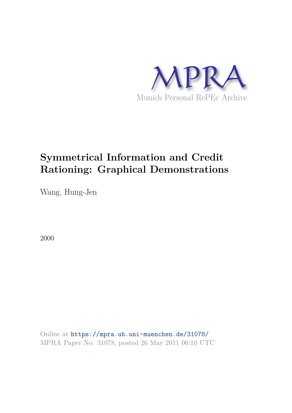

# **Symmetrical Information and Credit Rationing: Graphical Demonstrations**

Wang, Hung-Jen

2000

Online at https://mpra.ub.uni-muenchen.de/31078/ MPRA Paper No. 31078, posted 26 May 2011 06:10 UTC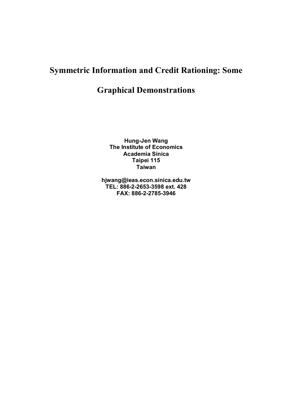## **Symmetric Information and Credit Rationing: Some**

## **Graphical Demonstrations**

**Hung-Jen Wang The Institute of Economics Academia Sinica Taipei 115 Taiwan** 

**hjwang@ieas.econ.sinica.edu.tw TEL: 886-2-2653-3598 ext. 428 FAX: 886-2-2785-3946**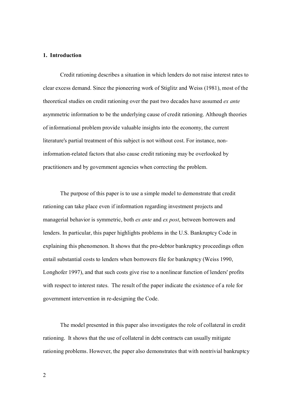#### **1. Introduction**

Credit rationing describes a situation in which lenders do not raise interest rates to clear excess demand. Since the pioneering work of Stiglitz and Weiss (1981), most of the theoretical studies on credit rationing over the past two decades have assumed *ex ante*  asymmetric information to be the underlying cause of credit rationing. Although theories of informational problem provide valuable insights into the economy, the current literature's partial treatment of this subject is not without cost. For instance, noninformation-related factors that also cause credit rationing may be overlooked by practitioners and by government agencies when correcting the problem.

The purpose of this paper is to use a simple model to demonstrate that credit rationing can take place even if information regarding investment projects and managerial behavior is symmetric, both *ex ante* and *ex post*, between borrowers and lenders. In particular, this paper highlights problems in the U.S. Bankruptcy Code in explaining this phenomenon. It shows that the pro-debtor bankruptcy proceedings often entail substantial costs to lenders when borrowers file for bankruptcy (Weiss 1990, Longhofer 1997), and that such costs give rise to a nonlinear function of lenders' profits with respect to interest rates. The result of the paper indicate the existence of a role for government intervention in re-designing the Code.

The model presented in this paper also investigates the role of collateral in credit rationing. It shows that the use of collateral in debt contracts can usually mitigate rationing problems. However, the paper also demonstrates that with nontrivial bankruptcy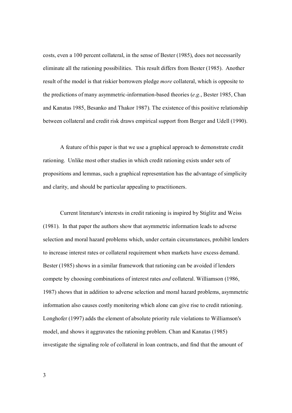costs, even a 100 percent collateral, in the sense of Bester (1985), does not necessarily eliminate all the rationing possibilities. This result differs from Bester (1985). Another result of the model is that riskier borrowers pledge *more* collateral, which is opposite to the predictions of many asymmetric-information-based theories (*e.g.*, Bester 1985, Chan and Kanatas 1985, Besanko and Thakor 1987). The existence of this positive relationship between collateral and credit risk draws empirical support from Berger and Udell (1990).

A feature of this paper is that we use a graphical approach to demonstrate credit rationing. Unlike most other studies in which credit rationing exists under sets of propositions and lemmas, such a graphical representation has the advantage of simplicity and clarity, and should be particular appealing to practitioners.

Current literature's interests in credit rationing is inspired by Stiglitz and Weiss (1981). In that paper the authors show that asymmetric information leads to adverse selection and moral hazard problems which, under certain circumstances, prohibit lenders to increase interest rates or collateral requirement when markets have excess demand. Bester (1985) shows in a similar framework that rationing can be avoided if lenders compete by choosing combinations of interest rates *and* collateral. Williamson (1986, 1987) shows that in addition to adverse selection and moral hazard problems, asymmetric information also causes costly monitoring which alone can give rise to credit rationing. Longhofer (1997) adds the element of absolute priority rule violations to Williamson's model, and shows it aggravates the rationing problem. Chan and Kanatas (1985) investigate the signaling role of collateral in loan contracts, and find that the amount of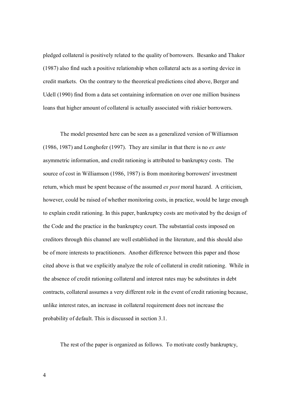pledged collateral is positively related to the quality of borrowers. Besanko and Thakor (1987) also find such a positive relationship when collateral acts as a sorting device in credit markets. On the contrary to the theoretical predictions cited above, Berger and Udell (1990) find from a data set containing information on over one million business loans that higher amount of collateral is actually associated with riskier borrowers.

The model presented here can be seen as a generalized version of Williamson (1986, 1987) and Longhofer (1997). They are similar in that there is no *ex ante* asymmetric information, and credit rationing is attributed to bankruptcy costs. The source of cost in Williamson (1986, 1987) is from monitoring borrowers' investment return, which must be spent because of the assumed *ex post* moral hazard. A criticism, however, could be raised of whether monitoring costs, in practice, would be large enough to explain credit rationing. In this paper, bankruptcy costs are motivated by the design of the Code and the practice in the bankruptcy court. The substantial costs imposed on creditors through this channel are well established in the literature, and this should also be of more interests to practitioners. Another difference between this paper and those cited above is that we explicitly analyze the role of collateral in credit rationing. While in the absence of credit rationing collateral and interest rates may be substitutes in debt contracts, collateral assumes a very different role in the event of credit rationing because, unlike interest rates, an increase in collateral requirement does not increase the probability of default. This is discussed in section 3.1.

The rest of the paper is organized as follows. To motivate costly bankruptcy,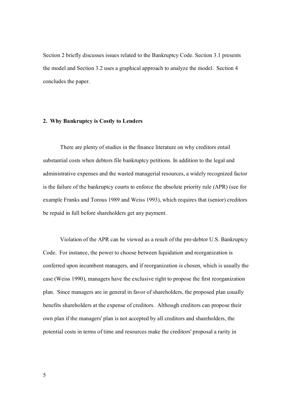Section 2 briefly discusses issues related to the Bankruptcy Code. Section 3.1 presents the model and Section 3.2 uses a graphical approach to analyze the model. Section 4 concludes the paper.

#### **2. Why Bankruptcy is Costly to Lenders**

There are plenty of studies in the finance literature on why creditors entail substantial costs when debtors file bankruptcy petitions. In addition to the legal and administrative expenses and the wasted managerial resources, a widely recognized factor is the failure of the bankruptcy courts to enforce the absolute priority rule (APR) (see for example Franks and Torous 1989 and Weiss 1993), which requires that (senior) creditors be repaid in full before shareholders get any payment.

Violation of the APR can be viewed as a result of the pro-debtor U.S. Bankruptcy Code. For instance, the power to choose between liquidation and reorganization is conferred upon incumbent managers, and if reorganization is chosen, which is usually the case (Weiss 1990), managers have the exclusive right to propose the first reorganization plan. Since managers are in general in favor of shareholders, the proposed plan usually benefits shareholders at the expense of creditors. Although creditors can propose their own plan if the managers' plan is not accepted by all creditors and shareholders, the potential costs in terms of time and resources make the creditors' proposal a rarity in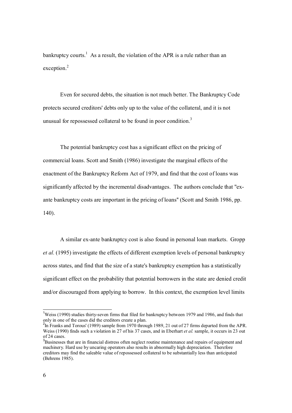bankruptcy courts.<sup>1</sup> As a result, the violation of the APR is a rule rather than an exception.<sup>2</sup>

Even for secured debts, the situation is not much better. The Bankruptcy Code protects secured creditors' debts only up to the value of the collateral, and it is not unusual for repossessed collateral to be found in poor condition.<sup>3</sup>

The potential bankruptcy cost has a significant effect on the pricing of commercial loans. Scott and Smith (1986) investigate the marginal effects of the enactment of the Bankruptcy Reform Act of 1979, and find that the cost of loans was significantly affected by the incremental disadvantages. The authors conclude that "exante bankruptcy costs are important in the pricing of loans'' (Scott and Smith 1986, pp. 140).

A similar ex-ante bankruptcy cost is also found in personal loan markets. Gropp *et al.* (1995) investigate the effects of different exemption levels of personal bankruptcy across states, and find that the size of a state's bankruptcy exemption has a statistically significant effect on the probability that potential borrowers in the state are denied credit and/or discouraged from applying to borrow. In this context, the exemption level limits

 $\overline{a}$ 

<sup>&</sup>lt;sup>1</sup>Weiss (1990) studies thirty-seven firms that filed for bankruptcy between 1979 and 1986, and finds that only in one of the cases did the creditors create a plan.

 $^{2}$ In Franks and Torous' (1989) sample from 1970 through 1989, 21 out of 27 firms departed from the APR. Weiss (1990) finds such a violation in 27 of his 37 cases, and in Eberhart *et al.* sample, it occurs in 23 out of 24 cases.

<sup>&</sup>lt;sup>3</sup>Businesses that are in financial distress often neglect routine maintenance and repairs of equipment and machinery. Hard use by uncaring operators also results in abnormally high depreciation. Therefore creditors may find the saleable value of repossessed collateral to be substantially less than anticipated (Behrens 1985).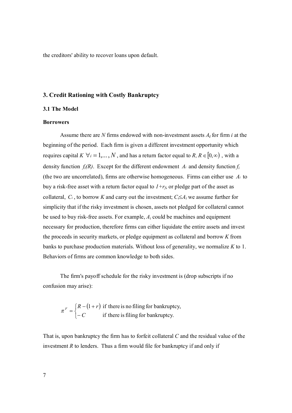the creditors' ability to recover loans upon default.

### **3. Credit Rationing with Costly Bankruptcy**

#### **3.1 The Model**

#### **Borrowers**

Assume there are *N* firms endowed with non-investment assets *Ai* for firm *i* at the beginning of the period. Each firm is given a different investment opportunity which requires capital  $K \ \forall i = 1,..., N$ , and has a return factor equal to  $R, R \in [0,\infty)$ , with a density function  $f_i(R)$ . Except for the different endowment  $A_i$  and density function  $f_i$ (the two are uncorrelated), firms are otherwise homogeneous. Firms can either use *Ai* to buy a risk-free asset with a return factor equal to  $I + r_f$ , or pledge part of the asset as collateral,  $C_i$ , to borrow *K* and carry out the investment;  $C_i \leq A_i$  we assume further for simplicity that if the risky investment is chosen, assets not pledged for collateral cannot be used to buy risk-free assets. For example, *Ai* could be machines and equipment necessary for production, therefore firms can either liquidate the entire assets and invest the proceeds in security markets, or pledge equipment as collateral and borrow *K* from banks to purchase production materials. Without loss of generality, we normalize *K* to 1. Behaviors of firms are common knowledge to both sides.

The firm's payoff schedule for the risky investment is (drop subscripts if no confusion may arise):

$$
\pi^F = \begin{cases} R - (1+r) & \text{if there is no filing for bankruptcy,} \\ -C & \text{if there is filing for bankruptcy.} \end{cases}
$$

That is, upon bankruptcy the firm has to forfeit collateral *C* and the residual value of the investment  $R$  to lenders. Thus a firm would file for bankruptcy if and only if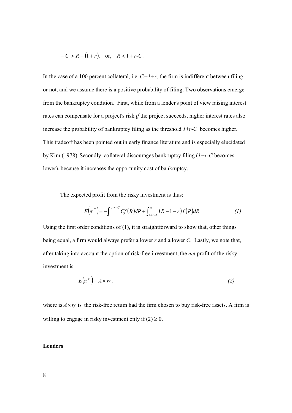$$
-C > R - (1+r)
$$
, or,  $R < 1+r-C$ .

In the case of a 100 percent collateral, i.e.  $C=1+r$ , the firm is indifferent between filing or not, and we assume there is a positive probability of filing. Two observations emerge from the bankruptcy condition. First, while from a lender's point of view raising interest rates can compensate for a project's risk *if* the project succeeds, higher interest rates also increase the probability of bankruptcy filing as the threshold *1*+*r-C* becomes higher. This tradeoff has been pointed out in early finance literature and is especially elucidated by Kim (1978). Secondly, collateral discourages bankruptcy filing (*1+r-C* becomes lower), because it increases the opportunity cost of bankruptcy.

The expected profit from the risky investment is thus:

$$
E(\pi^F) = -\int_0^{1+r-C} Cf(R) dR + \int_{1+r-C}^{\infty} (R-1-r)f(R) dR
$$
 (1)

Using the first order conditions of  $(1)$ , it is straightforward to show that, other things being equal, a firm would always prefer a lower *r* and a lower *C*. Lastly, we note that, after taking into account the option of risk-free investment, the *net* profit of the risky investment is

$$
E(\pi^F) - A \times r_f, \qquad (2)
$$

where is  $A \times r_f$  is the risk-free return had the firm chosen to buy risk-free assets. A firm is willing to engage in risky investment only if  $(2) \ge 0$ .

## **Lenders**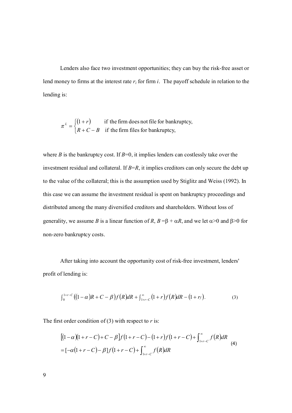Lenders also face two investment opportunities; they can buy the risk-free asset or lend money to firms at the interest rate *r<sup>i</sup>* for firm *i*. The payoff schedule in relation to the lending is:

$$
\pi^{L} = \begin{cases} (1+r) & \text{if the firm does not file for bankruptcy,} \\ R + C - B & \text{if the firm files for bankruptcy,} \end{cases}
$$

where *B* is the bankruptcy cost. If  $B=0$ , it implies lenders can costlessly take over the investment residual and collateral. If *B*=*R*, it implies creditors can only secure the debt up to the value of the collateral; this is the assumption used by Stiglitz and Weiss (1992). In this case we can assume the investment residual is spent on bankruptcy proceedings and distributed among the many diversified creditors and shareholders. Without loss of generality, we assume *B* is a linear function of *R*,  $B = \beta + \alpha R$ , and we let  $\alpha > 0$  and  $\beta > 0$  for non-zero bankruptcy costs.

After taking into account the opportunity cost of risk-free investment, lenders' profit of lending is:

$$
\int_0^{1+r-C} \left( (1-\alpha)R + C - \beta \right) f(R) dR + \int_{1+r-C}^{\infty} (1+r) f(R) dR - (1+r). \tag{3}
$$

The first order condition of (3) with respect to *r* is:

$$
\begin{aligned} & \left[ (1-\alpha)(1+r-C) + C - \beta \right] f (1+r-C) - (1+r) f (1+r-C) + \int_{1+r-C}^{\infty} f(R) dR \\ & = \left[ -\alpha(1+r-C) - \beta \right] f (1+r-C) + \int_{1+r-C}^{\infty} f(R) dR \end{aligned} \tag{4}
$$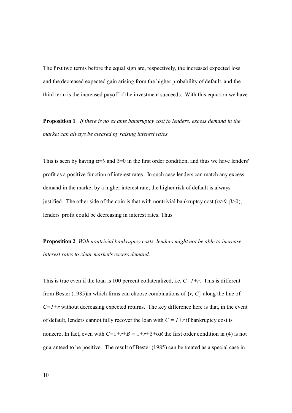The first two terms before the equal sign are, respectively, the increased expected loss and the decreased expected gain arising from the higher probability of default, and the third term is the increased payoff if the investment succeeds. With this equation we have

**Proposition 1** *If there is no ex ante bankruptcy cost to lenders, excess demand in the market can always be cleared by raising interest rates.* 

This is seen by having  $\alpha=0$  and  $\beta=0$  in the first order condition, and thus we have lenders' profit as a positive function of interest rates. In such case lenders can match any excess demand in the market by a higher interest rate; the higher risk of default is always justified. The other side of the coin is that with nontrivial bankruptcy cost  $(\alpha > 0, \beta > 0)$ , lenders' profit could be decreasing in interest rates. Thus

**Proposition 2** *With nontrivial bankruptcy costs, lenders might not be able to increase interest rates to clear market's excess demand.* 

This is true even if the loan is 100 percent collateralized, i.e. *C=1+r*. This is different from Bester (1985)in which firms can choose combinations of {*r, C*} along the line of  $C=1+r$  without decreasing expected returns. The key difference here is that, in the event of default, lenders cannot fully recover the loan with  $C = 1+r$  if bankruptcy cost is nonzero. In fact, even with  $C=1+r+B=1+r+\beta+\alpha R$  the first order condition in (4) is not guaranteed to be positive. The result of Bester (1985) can be treated as a special case in

10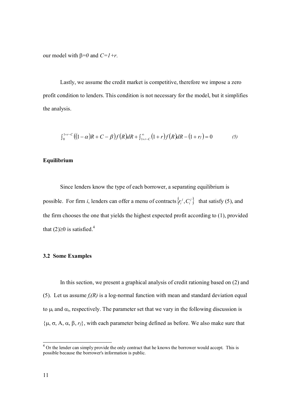our model with  $\beta=0$  and  $C=1+r$ .

Lastly, we assume the credit market is competitive, therefore we impose a zero profit condition to lenders. This condition is not necessary for the model, but it simplifies the analysis.

$$
\int_0^{1+r-C} ((1-\alpha)R + C - \beta)f(R) dR + \int_{1+r-C}^{\infty} (1+r)f(R) dR - (1+r_f) = 0
$$
 (5)

#### **Equilibrium**

Since lenders know the type of each borrower, a separating equilibrium is possible. For firm *i*, lenders can offer a menu of contracts  $\{r_i^j, C_i^j\}$ *i*  $r_i^j$ ,  $C_i^j$  that satisfy (5), and the firm chooses the one that yields the highest expected profit according to (1), provided that  $(2)\geq 0$  is satisfied.<sup>4</sup>

#### **3.2 Some Examples**

In this section, we present a graphical analysis of credit rationing based on (2) and (5). Let us assume  $f_i(R)$  is a log-normal function with mean and standard deviation equal to  $\mu_i$  and  $\alpha_i$ , respectively. The parameter set that we vary in the following discussion is  $\{\mu, \sigma, A, \alpha, \beta, r_f\}$ , with each parameter being defined as before. We also make sure that

 $\overline{a}$ 

 $4$  Or the lender can simply provide the only contract that he knows the borrower would accept. This is possible because the borrower's information is public.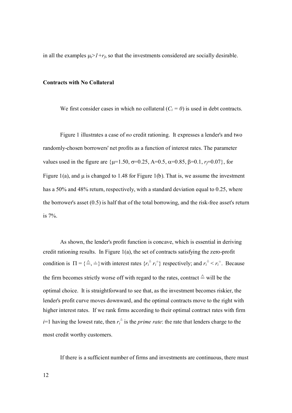in all the examples  $\mu_i > I + r_f$ , so that the investments considered are socially desirable.

#### **Contracts with No Collateral**

We first consider cases in which no collateral  $(C_i = 0)$  is used in debt contracts.

Figure 1 illustrates a case of *no* credit rationing. It expresses a lender's and two randomly-chosen borrowers' net profits as a function of interest rates. The parameter values used in the figure are  $\{\mu=1.50, \sigma=0.25, A=0.5, \alpha=0.85, \beta=0.1, r_f=0.07\}$ , for Figure 1(a), and  $\mu$  is changed to 1.48 for Figure 1(b). That is, we assume the investment has a 50% and 48% return, respectively, with a standard deviation equal to 0.25, where the borrower's asset (0.5) is half that of the total borrowing, and the risk-free asset's return is 7%.

As shown, the lender's profit function is concave, which is essential in deriving credit rationing results. In Figure 1(a), the set of contracts satisfying the zero-profit condition is  $\Pi = \{\triangle \neq j\}$  with interest rates  $\{r_i^{\triangleq} r_i^{\triangleq}\}$  respectively; and  $r_i^{\triangleq} < r_i^{\triangleq}$ . Because the firm becomes strictly worse off with regard to the rates, contract  $\triangleq$  will be the optimal choice. It is straightforward to see that, as the investment becomes riskier, the lender's profit curve moves downward, and the optimal contracts move to the right with higher interest rates. If we rank firms according to their optimal contract rates with firm *i*=1 having the lowest rate, then  $r_i^{\hat{}}$  is the *prime rate*: the rate that lenders charge to the most credit worthy customers.

If there is a sufficient number of firms and investments are continuous, there must

12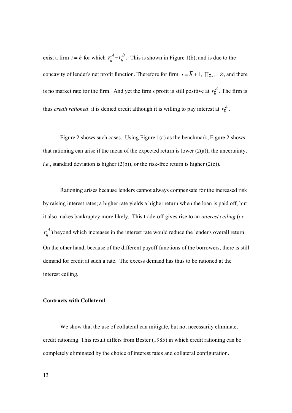exist a firm  $i = \overline{h}$  for which  $r_{\overline{h}}^A = r_{\overline{h}}^B$  $r_{\overline{h}}^B$ . This is shown in Figure 1(b), and is due to the concavity of lender's net profit function. Therefore for firm  $i = \overline{h} + 1$ ,  $\prod_{\overline{h}+1} = \emptyset$ , and there is no market rate for the firm. And yet the firm's profit is still positive at  $r_{\bar{h}}^A$ . The firm is thus *credit rationed*: it is denied credit although it is willing to pay interest at  $r_{\overline{h}}^A$ .

Figure 2 shows such cases. Using Figure 1(a) as the benchmark, Figure 2 shows that rationing can arise if the mean of the expected return is lower  $(2(a))$ , the uncertainty, *i.e.*, standard deviation is higher  $(2(b))$ , or the risk-free return is higher  $(2(c))$ .

Rationing arises because lenders cannot always compensate for the increased risk by raising interest rates; a higher rate yields a higher return when the loan is paid off, but it also makes bankruptcy more likely. This trade-off gives rise to an *interest ceiling* (*i.e. A*  $r_{\overline{h}}^A$ ) beyond which increases in the interest rate would reduce the lender's overall return. On the other hand, because of the different payoff functions of the borrowers, there is still demand for credit at such a rate. The excess demand has thus to be rationed at the interest ceiling.

#### **Contracts with Collateral**

We show that the use of collateral can mitigate, but not necessarily eliminate, credit rationing. This result differs from Bester (1985) in which credit rationing can be completely eliminated by the choice of interest rates and collateral configuration.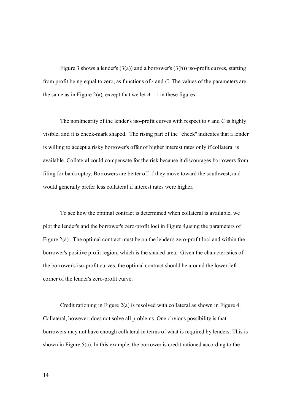Figure 3 shows a lender's  $(3(a))$  and a borrower's  $(3(b))$  iso-profit curves, starting from profit being equal to zero, as functions of *r* and *C.* The values of the parameters are the same as in Figure 2(a), except that we let  $A = 1$  in these figures.

The nonlinearity of the lender's iso-profit curves with respect to *r* and *C* is highly visible, and it is check-mark shaped. The rising part of the "check'' indicates that a lender is willing to accept a risky borrower's offer of higher interest rates only if collateral is available. Collateral could compensate for the risk because it discourages borrowers from filing for bankruptcy. Borrowers are better off if they move toward the southwest, and would generally prefer less collateral if interest rates were higher.

To see how the optimal contract is determined when collateral is available, we plot the lender's and the borrower's zero-profit loci in Figure 4,using the parameters of Figure 2(a). The optimal contract must be on the lender's zero-profit loci and within the borrower's positive profit region, which is the shaded area. Given the characteristics of the borrower's iso-profit curves, the optimal contract should be around the lower-left corner of the lender's zero-profit curve.

Credit rationing in Figure 2(a) is resolved with collateral as shown in Figure 4. Collateral, however, does not solve all problems. One obvious possibility is that borrowers may not have enough collateral in terms of what is required by lenders. This is shown in Figure 5(a). In this example, the borrower is credit rationed according to the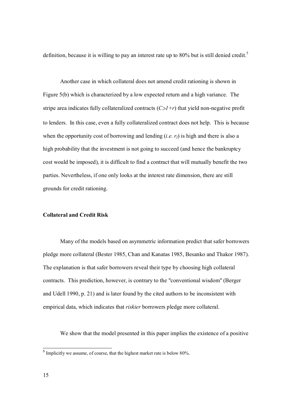definition, because it is willing to pay an interest rate up to 80% but is still denied credit.<sup>5</sup>

Another case in which collateral does not amend credit rationing is shown in Figure 5(b) which is characterized by a low expected return and a high variance. The stripe area indicates fully collateralized contracts  $(C>1+r)$  that yield non-negative profit to lenders. In this case, even a fully collateralized contract does not help. This is because when the opportunity cost of borrowing and lending (*i.e. rf*) is high and there is also a high probability that the investment is not going to succeed (and hence the bankruptcy cost would be imposed), it is difficult to find a contract that will mutually benefit the two parties. Nevertheless, if one only looks at the interest rate dimension, there are still grounds for credit rationing.

#### **Collateral and Credit Risk**

Many of the models based on asymmetric information predict that safer borrowers pledge more collateral (Bester 1985, Chan and Kanatas 1985, Besanko and Thakor 1987). The explanation is that safer borrowers reveal their type by choosing high collateral contracts. This prediction, however, is contrary to the "conventional wisdom'' (Berger and Udell 1990, p. 21) and is later found by the cited authors to be inconsistent with empirical data, which indicates that *riskier* borrowers pledge more collateral.

We show that the model presented in this paper implies the existence of a positive

**IMPLICITY 6** Implicitly we assume, of course, that the highest market rate is below 80%.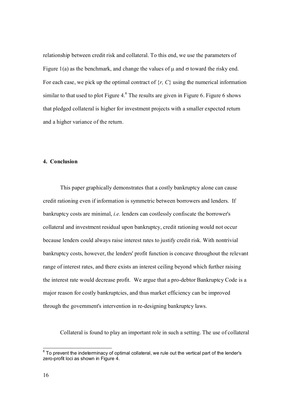relationship between credit risk and collateral. To this end, we use the parameters of Figure 1(a) as the benchmark, and change the values of  $\mu$  and  $\sigma$  toward the risky end. For each case, we pick up the optimal contract of {*r, C*} using the numerical information similar to that used to plot Figure  $4<sup>6</sup>$  The results are given in Figure 6. Figure 6 shows that pledged collateral is higher for investment projects with a smaller expected return and a higher variance of the return.

#### **4. Conclusion**

This paper graphically demonstrates that a costly bankruptcy alone can cause credit rationing even if information is symmetric between borrowers and lenders. If bankruptcy costs are minimal, *i.e.* lenders can costlessly confiscate the borrower's collateral and investment residual upon bankruptcy, credit rationing would not occur because lenders could always raise interest rates to justify credit risk. With nontrivial bankruptcy costs, however, the lenders' profit function is concave throughout the relevant range of interest rates, and there exists an interest ceiling beyond which further raising the interest rate would decrease profit. We argue that a pro-debtor Bankruptcy Code is a major reason for costly bankruptcies, and thus market efficiency can be improved through the government's intervention in re-designing bankruptcy laws.

Collateral is found to play an important role in such a setting. The use of collateral

 6 To prevent the indeterminacy of optimal collateral, we rule out the vertical part of the lender's zero-profit loci as shown in Figure 4.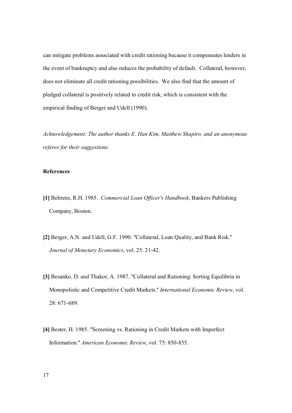can mitigate problems associated with credit rationing because it compensates lenders in the event of bankruptcy and also reduces the probability of default. Collateral, however, does not eliminate all credit rationing possibilities. We also find that the amount of pledged collateral is positively related to credit risk, which is consistent with the empirical finding of Berger and Udell (1990).

*Acknowledgement: The author thanks E. Han Kim, Matthew Shapiro, and an anonymous referee for their suggestions.* 

### **References**

- **[1]** Behrens, R.H. 1985. *Commercial Loan Officer's Handbook*, Bankers Publishing Company, Boston.
- **[2]** Berger, A.N. and Udell, G.F. 1990. "Collateral, Loan Quality, and Bank Risk.'' *Journal of Monetary Economics*, vol. 25: 21-42.
- **[3]** Besanko, D. and Thakor, A. 1987. "Collateral and Rationing: Sorting Equilibria in Monopolistic and Competitive Credit Markets.'' *International Economic Review*, vol. 28: 671-689.
- **[4]** Bester, H. 1985. "Screening vs. Rationing in Credit Markets with Imperfect Information.'' *American Economic Review*, vol. 75: 850-855.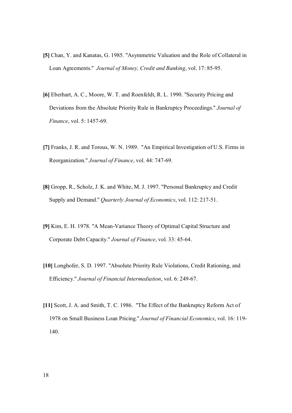- **[5]** Chan, Y. and Kanatas, G. 1985. "Asymmetric Valuation and the Role of Collateral in Loan Agreements.'' *Journal of Money, Credit and Banking*, vol. 17: 85-95.
- **[6]** Eberhart, A. C., Moore, W. T. and Roenfeldt, R. L. 1990. "Security Pricing and Deviations from the Absolute Priority Rule in Bankruptcy Proceedings.'' *Journal of Finance*, vol. 5: 1457-69.
- **[7]** Franks, J. R. and Torous, W. N. 1989. "An Empirical Investigation of U.S. Firms in Reorganization.'' *Journal of Finance*, vol. 44: 747-69.
- **[8]** Gropp, R., Scholz, J. K. and White, M. J. 1997. "Personal Bankruptcy and Credit Supply and Demand.'' *Quarterly Journal of Economics*, vol. 112: 217-51.
- **[9]** Kim, E. H. 1978. "A Mean-Variance Theory of Optimal Capital Structure and Corporate Debt Capacity.'' *Journal of Finance*, vol. 33: 45-64.
- **[10]** Longhofer, S. D. 1997. "Absolute Priority Rule Violations, Credit Rationing, and Efficiency.'' *Journal of Financial Intermediation*, vol. 6: 249-67.
- **[11]** Scott, J. A. and Smith, T. C. 1986. "The Effect of the Bankruptcy Reform Act of 1978 on Small Business Loan Pricing.'' *Journal of Financial Economics*, vol. 16: 119- 140.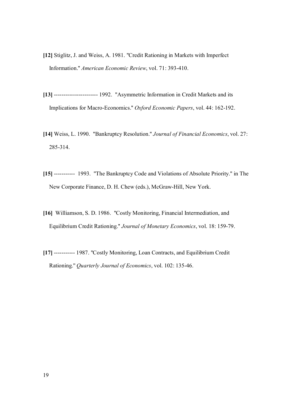- **[12]** Stiglitz, J. and Weiss, A. 1981. "Credit Rationing in Markets with Imperfect Information.'' *American Economic Review*, vol. 71: 393-410.
- **[13]** ----------------------- 1992. "Asymmetric Information in Credit Markets and its Implications for Macro-Economics.'' *Oxford Economic Papers*, vol. 44: 162-192.
- **[14]** Weiss, L. 1990. "Bankruptcy Resolution.'' *Journal of Financial Economics*, vol. 27: 285-314.
- **[15]** ----------- 1993. "The Bankruptcy Code and Violations of Absolute Priority.'' in The New Corporate Finance, D. H. Chew (eds.), McGraw-Hill, New York.
- **[16]** Williamson, S. D. 1986. "Costly Monitoring, Financial Intermediation, and Equilibrium Credit Rationing.'' *Journal of Monetary Economics*, vol. 18: 159-79.
- **[17]** ----------- 1987. "Costly Monitoring, Loan Contracts, and Equilibrium Credit Rationing.'' *Quarterly Journal of Economics*, vol. 102: 135-46.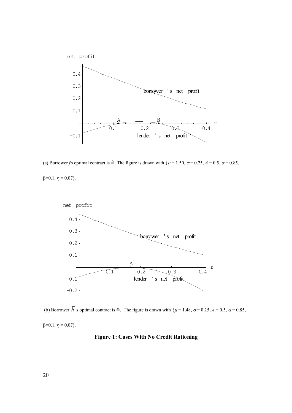

(a) Borrower *j*'s optimal contract is  $\stackrel{\triangle}{=}$ . The figure is drawn with  $\{\mu = 1.50, \sigma = 0.25, \Lambda = 0.5, \alpha = 0.85, \Lambda = 0.5\}$ 

 $\beta = 0.1, r_f = 0.07$ .



(b) Borrower  $\overline{h}$  's optimal contract is  $\stackrel{\triangle}{=}$ . The figure is drawn with  $\{\mu = 1.48, \sigma = 0.25, \Lambda = 0.5, \alpha = 0.85, \Lambda = 0.75, \Lambda = 0.75, \Lambda = 0.85, \Lambda = 0.75, \Lambda = 0.75, \Lambda = 0.75, \Lambda = 0.75, \Lambda = 0.75, \Lambda = 0.75, \Lambda = 0.75, \Lambda = 0.75, \Lambda =$  $\beta=0.1, r_f=0.07$ .

## **Figure 1: Cases With No Credit Rationing**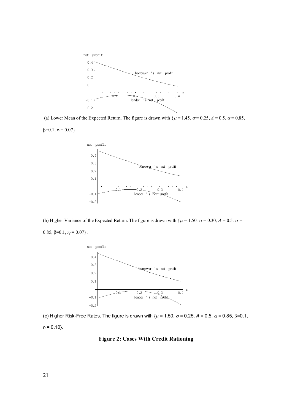

(a) Lower Mean of the Expected Return. The figure is drawn with  $\{\mu = 1.45, \sigma = 0.25, \Lambda = 0.5, \alpha = 0.85, \Lambda = 0.5, \Lambda = 0.5, \Lambda = 0.5, \Lambda = 0.5, \Lambda = 0.5, \Lambda = 0.5, \Lambda = 0.5, \Lambda = 0.5, \Lambda = 0.5, \Lambda = 0.5, \Lambda = 0.5, \Lambda = 0.5, \Lambda = 0.5, \Lambda = 0.5, \Lambda = 0.5,$ 

$$
\beta=0.1, r_{\rm f}=0.07\}.
$$



(b) Higher Variance of the Expected Return. The figure is drawn with  $\{\mu = 1.50, \sigma = 0.30, \Lambda = 0.5, \alpha = 0.5, \lambda = 0.5, \lambda = 0.5\}$ 0.85,  $\beta=0.1$ ,  $r_f=0.07$ .



(c) Higher Risk-Free Rates. The figure is drawn with  $\{\mu = 1.50, \sigma = 0.25, A = 0.5, \alpha = 0.85, \beta = 0.1, \sigma = 0.1, \sigma = 0.1, \sigma = 0.1, \sigma = 0.1, \sigma = 0.1, \sigma = 0.1, \sigma = 0.1, \sigma = 0.1, \sigma = 0.1, \sigma = 0.1, \sigma = 0.1, \sigma = 0.1, \sigma = 0.1, \sigma = 0.1, \sigma = 0.1, \sigma =$ *rf =* 0.10}.

#### **Figure 2: Cases With Credit Rationing**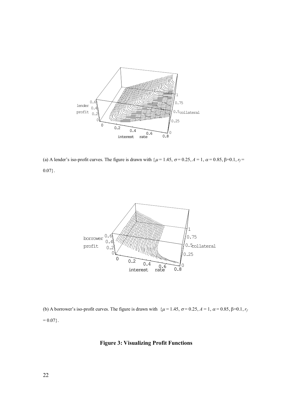

(a) A lender's iso-profit curves. The figure is drawn with  $\{\mu = 1.45, \sigma = 0.25, A = 1, \alpha = 0.85, \beta = 0.1, r_f = 0.1, r_f = 0.1, r_f = 0.1, r_f = 0.1, r_f = 0.1, r_f = 0.1, r_f = 0.1, r_f = 0.1, r_f = 0.1, r_f = 0.1, r_f = 0.1, r_f = 0.1, r_f = 0.1, r_f = 0.1, r_f = 0.1,$  $0.07$ }.



(b) A borrower's iso-profit curves. The figure is drawn with  $\{\mu = 1.45, \sigma = 0.25, A = 1, \alpha = 0.85, \beta = 0.1, r_f$  $= 0.07$ .

#### **Figure 3: Visualizing Profit Functions**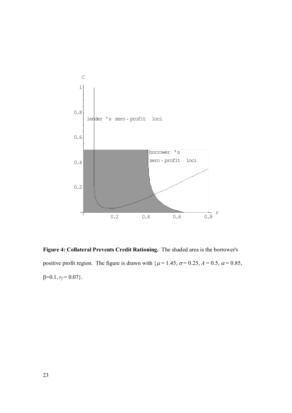

**Figure 4: Collateral Prevents Credit Rationing.** The shaded area is the borrower's positive profit region. The figure is drawn with  $\{\mu = 1.45, \sigma = 0.25, \lambda = 0.5, \alpha = 0.85, \lambda = 0.85, \lambda = 0.85, \lambda = 0.85, \lambda = 0.85, \lambda = 0.85, \lambda = 0.85, \lambda = 0.85, \lambda = 0.85, \lambda = 0.85, \lambda = 0.85, \lambda = 0.85, \lambda = 0.85, \lambda = 0.85, \lambda = 0.85, \lambda = 0.85,$  $\beta=0.1, r_f=0.07$ .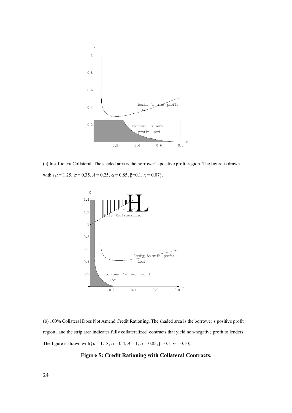

(a) Insufficient Collateral. The shaded area is the borrower's positive profit region. The figure is drawn with  $\{\mu = 1.25, \sigma = 0.35, \lambda = 0.25, \alpha = 0.85, \beta = 0.1, r_f = 0.07\}.$ 



(b) 100% Collateral Does Not Amend Credit Rationing. The shaded area is the borrower's positive profit region , and the strip area indicates fully collateralized contracts that yield non-negative profit to lenders. The figure is drawn with  $\{\mu = 1.18, \sigma = 0.4, A = 1, \alpha = 0.85, \beta = 0.1, r_f = 0.10\}$ .

#### **Figure 5: Credit Rationing with Collateral Contracts.**